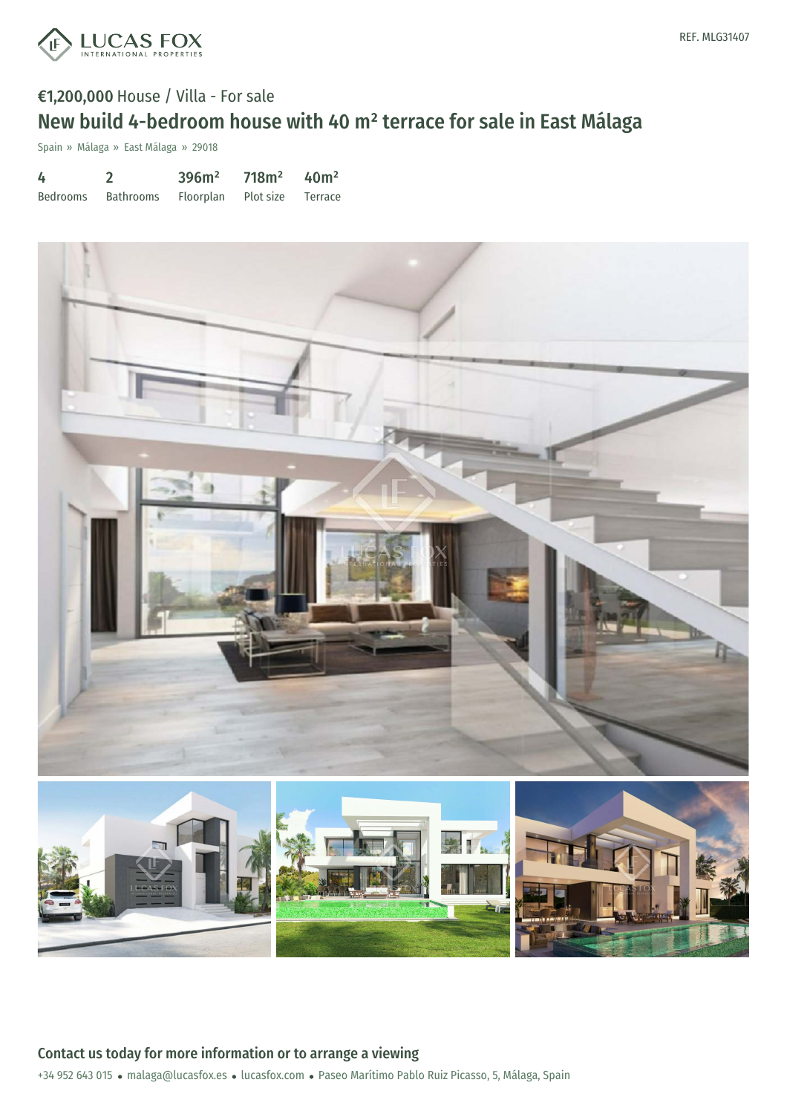

# €1,200,000 House / Villa - For sale New build 4-bedroom house with 40 m² terrace for sale in East Málaga

Spain » Málaga » East Málaga » 29018

| 4        |                                       | 396m <sup>2</sup> | $718m^2$ 40m <sup>2</sup> |  |
|----------|---------------------------------------|-------------------|---------------------------|--|
| Bedrooms | Bathrooms Floorplan Plot size Terrace |                   |                           |  |

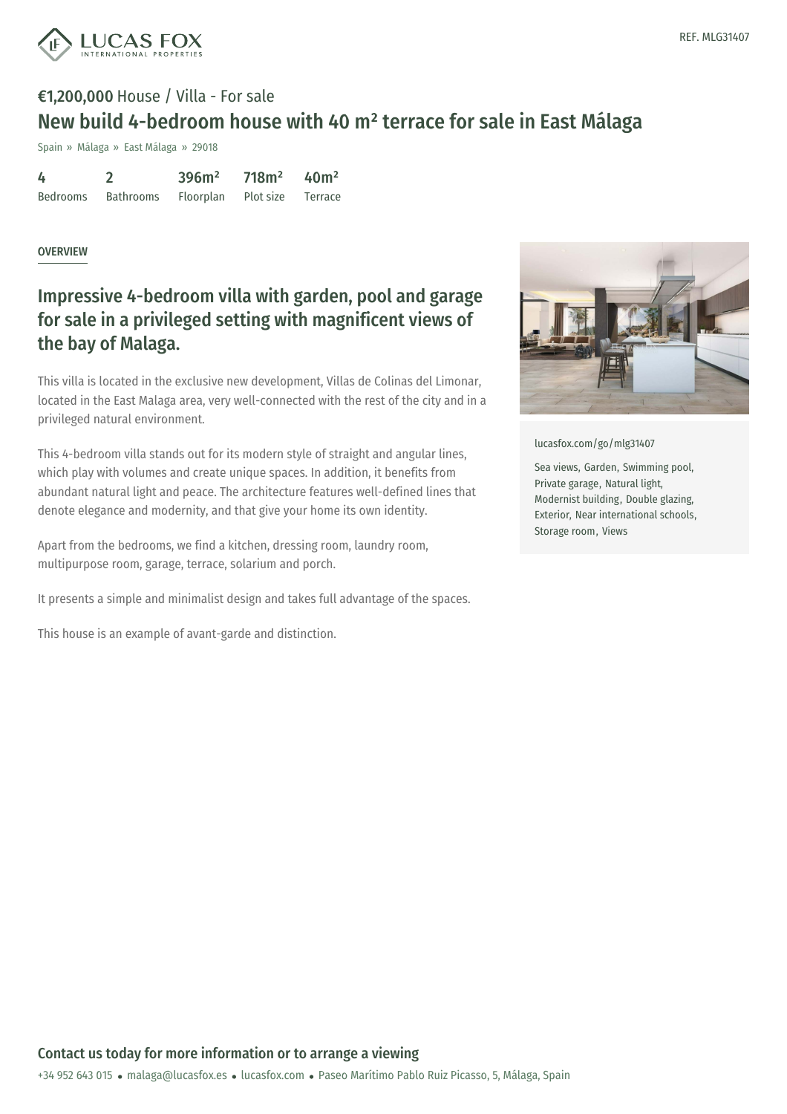

# €1,200,000 House / Villa - For sale New build 4-bedroom house with 40 m² terrace for sale in East Málaga

Spain » Málaga » East Málaga » 29018

| 4        |           | 396m <sup>2</sup> | 718m <sup>2</sup> | 40 <sup>m²</sup> |
|----------|-----------|-------------------|-------------------|------------------|
| Bedrooms | Bathrooms | Floorplan         | Plot size Terrace |                  |

#### **OVERVIEW**

### Impressive 4-bedroom villa with garden, pool and garage for sale in a privileged setting with magnificent views of the bay of Malaga.

This villa is located in the exclusive new development, Villas de Colinas del Limonar, located in the East Malaga area, very well-connected with the rest of the city and in a privileged natural environment.

This 4-bedroom villa stands out for its modern style of straight and angular lines, which play with volumes and create unique spaces. In addition, it benefits from abundant natural light and peace. The architecture features well-defined lines that denote elegance and modernity, and that give your home its own identity.

Apart from the bedrooms, we find a kitchen, dressing room, laundry room, multipurpose room, garage, terrace, solarium and porch.

It presents a simple and minimalist design and takes full advantage of the spaces.

This house is an example of avant-garde and distinction.



[lucasfox.com/go/mlg31407](https://www.lucasfox.com/go/mlg31407)

Sea views, Garden, Swimming pool, Private garage, Natural light, Modernist building, Double glazing, Exterior, Near international schools, Storage room, Views